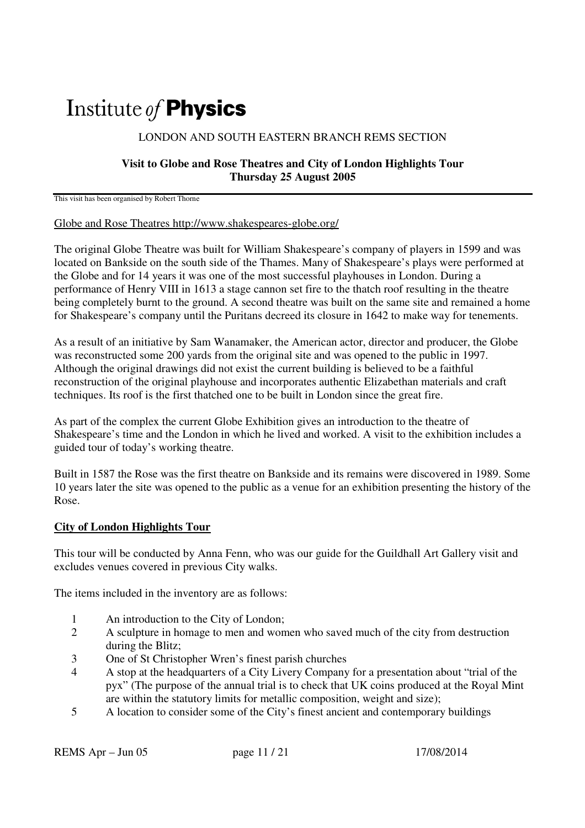# Institute of **Physics**

### LONDON AND SOUTH EASTERN BRANCH REMS SECTION

#### **Visit to Globe and Rose Theatres and City of London Highlights Tour Thursday 25 August 2005**

This visit has been organised by Robert Thorne

#### Globe and Rose Theatres http://www.shakespeares-globe.org/

The original Globe Theatre was built for William Shakespeare's company of players in 1599 and was located on Bankside on the south side of the Thames. Many of Shakespeare's plays were performed at the Globe and for 14 years it was one of the most successful playhouses in London. During a performance of Henry VIII in 1613 a stage cannon set fire to the thatch roof resulting in the theatre being completely burnt to the ground. A second theatre was built on the same site and remained a home for Shakespeare's company until the Puritans decreed its closure in 1642 to make way for tenements.

As a result of an initiative by Sam Wanamaker, the American actor, director and producer, the Globe was reconstructed some 200 yards from the original site and was opened to the public in 1997. Although the original drawings did not exist the current building is believed to be a faithful reconstruction of the original playhouse and incorporates authentic Elizabethan materials and craft techniques. Its roof is the first thatched one to be built in London since the great fire.

As part of the complex the current Globe Exhibition gives an introduction to the theatre of Shakespeare's time and the London in which he lived and worked. A visit to the exhibition includes a guided tour of today's working theatre.

Built in 1587 the Rose was the first theatre on Bankside and its remains were discovered in 1989. Some 10 years later the site was opened to the public as a venue for an exhibition presenting the history of the Rose.

## **City of London Highlights Tour**

This tour will be conducted by Anna Fenn, who was our guide for the Guildhall Art Gallery visit and excludes venues covered in previous City walks.

The items included in the inventory are as follows:

- 1 An introduction to the City of London;
- 2 A sculpture in homage to men and women who saved much of the city from destruction during the Blitz;
- 3 One of St Christopher Wren's finest parish churches
- 4 A stop at the headquarters of a City Livery Company for a presentation about "trial of the pyx" (The purpose of the annual trial is to check that UK coins produced at the Royal Mint are within the statutory limits for metallic composition, weight and size);
- 5 A location to consider some of the City's finest ancient and contemporary buildings